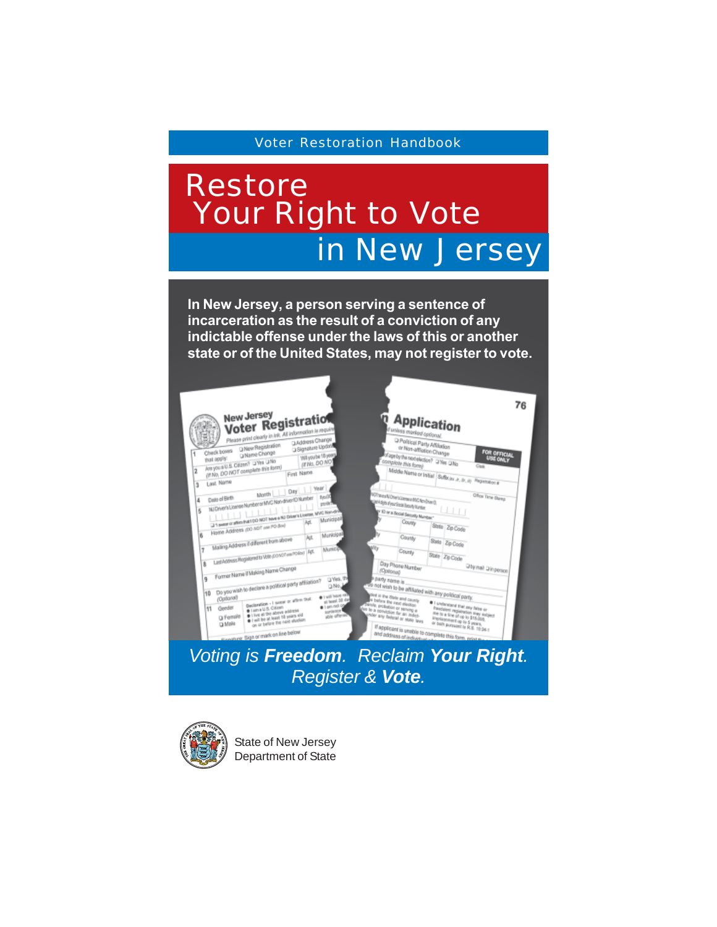## Restore Your Right to Vote in New Jersey

**In New Jersey, a person serving a sentence of incarceration as the result of a conviction of any indictable offense under the laws of this or another state or of the United States, may not register to vote.**



*Voting is Freedom. Reclaim Your Right. Register & Vote.*



State of New Jersey Department of State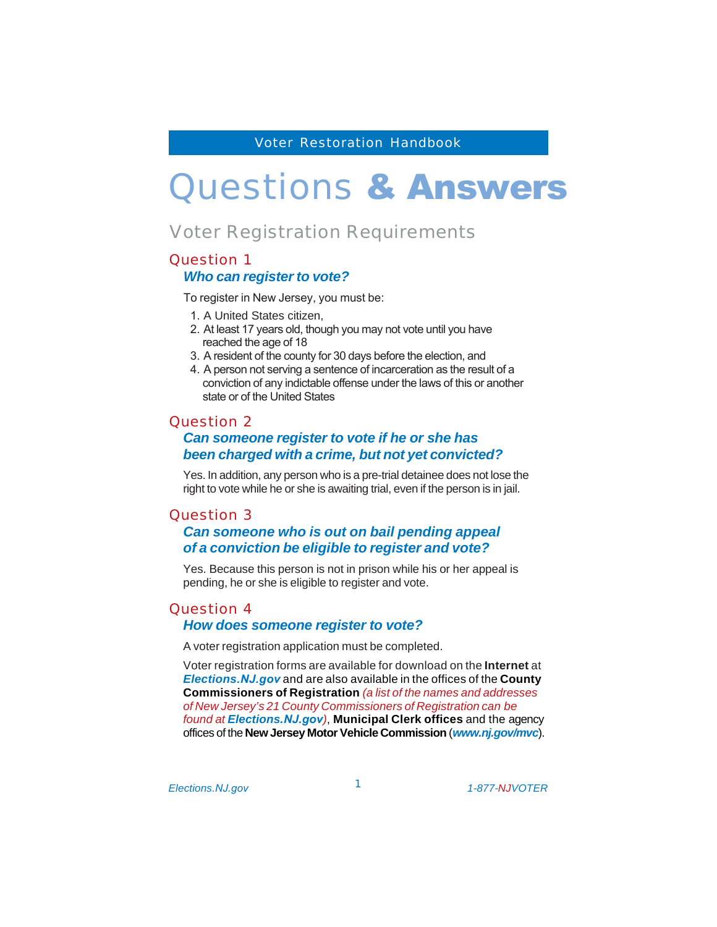## Questions & Answers

## Voter Registration Requirements

#### Question 1

#### *Who can register to vote?*

To register in New Jersey, you must be:

- 1. A United States citizen,
- 2. At least 17 years old, though you may not vote until you have reached the age of 18
- 3. A resident of the county for 30 days before the election, and
- 4. A person not serving a sentence of incarceration as the result of a conviction of any indictable offense under the laws of this or another state or of the United States

#### Question 2

## *Can someone register to vote if he or she has been charged with a crime, but not yet convicted?*

Yes. In addition, any person who is a pre-trial detainee does not lose the right to vote while he or she is awaiting trial, even if the person is in jail.

#### Question 3

## *Can someone who is out on bail pending appeal of a conviction be eligible to register and vote?*

Yes. Because this person is not in prison while his or her appeal is pending, he or she is eligible to register and vote.

#### Question 4

#### *How does someone register to vote?*

A voter registration application must be completed.

Voter registration forms areavailable for download on the**Internet** at *Elections.NJ.gov* and are also available in the offices of the **County Commissioners of Registration** *(a list of the names andaddresses of New Jersey's 21 County Commissioners of Registrationcan be found at Elections.NJ.gov)*, **Municipal Clerk offices** and the agency offices of the **New Jersey Motor Vehicle Commission** (*www.nj.gov/mvc*).

1

*Elections.NJ.gov 1-877-NJVOTER*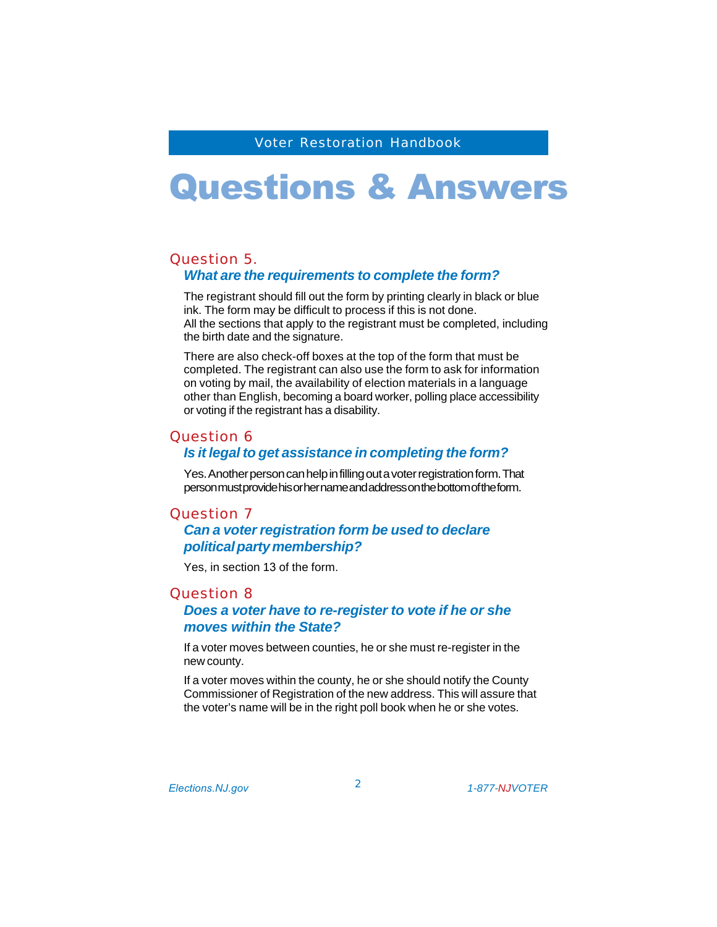# Questions & Answers

### Question 5. *What are the requirements to complete the form?*

The registrant should fill out the form by printing clearly in black or blue ink. The form may be difficult to process if this is not done. All the sections that apply to the registrant must be completed, including the birth date and the signature.

There are also check-off boxes at the top of the form that must be completed. The registrant can also use the form to ask for information on voting by mail, the availability of election materials in a language other than English, becoming a board worker, polling place accessibility or voting if the registrant has a disability.

#### Question 6

#### *Is it legal to get assistance in completing the form?*

Yes. Another person can help in filling out a voter registration form. That person must provide his or her name and address on the bottom of the form.

#### Question 7

### *Can a voter registration form be used to declare political party membership?*

Yes, in section 13 of the form.

#### Question 8

#### *Does a voter have to re-register to vote if he or she moves within the State?*

If a voter moves between counties, he or she must re-register in the new county.

If a voter moves within the county, he or she should notify the County Commissioner of Registration of the new address. This will assure that the voter's name will be in the right poll book when he or she votes.

*Elections.NJ.gov 1-877-NJVOTER*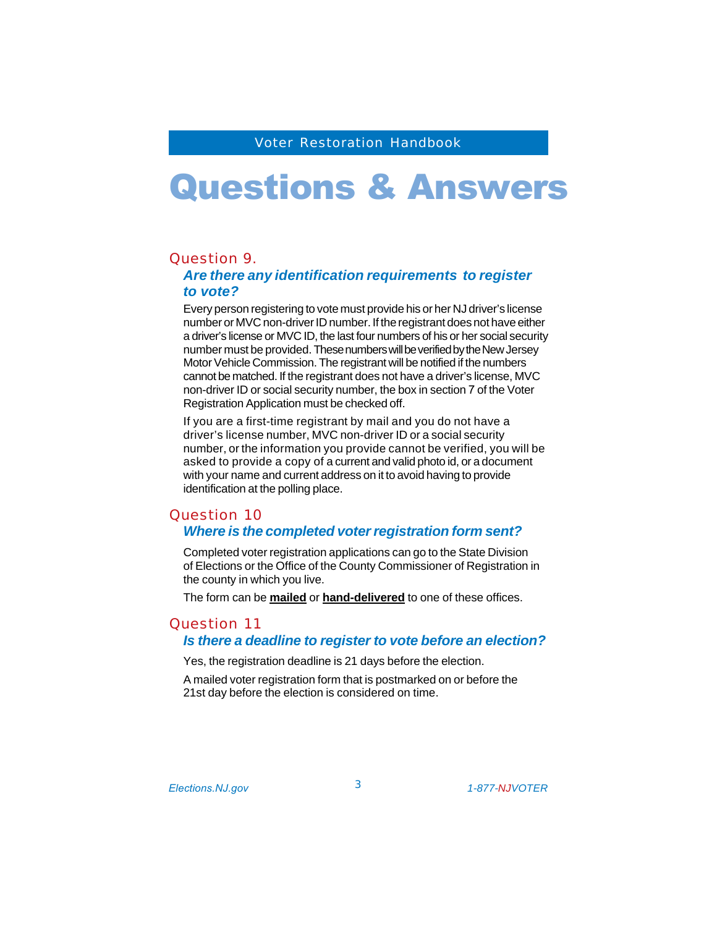# Questions & Answers

#### Question 9.

#### *Are there any identification requirements to register to vote?*

Every person registering to vote must provide his or her NJ driver's license number or MVC non-driver ID number. If the registrant does not have either a driver's license or MVC ID, the last four numbers of his or her social security number must be provided. These numbers will be verified by the New Jersey Motor Vehicle Commission. The registrant will be notified if the numbers cannot be matched. If the registrant does not have a driver's license, MVC non-driver ID or social security number, the box in section 7 of the Voter Registration Application must be checked off.

If you are a first-time registrant by mail and you do not have a driver's license number, MVC non-driver ID or a social security number, or the information you provide cannot be verified, you will be asked to provide a copy of acurrent and valid photo id, or adocument with your name and current address on it to avoid having to provide identification at the polling place.

#### Question 10 *Where is the completed voter registration form sent?*

Completed voter registration applications can go to the State Division of Elections or the Office of the County Commissioner of Registration in the county in which you live.

The form can be **mailed** or **hand-delivered** to one of these offices.

## Question 11

#### *Is there a deadline to register to vote before an election?*

Yes, the registration deadline is 21 days before the election.

A mailed voter registration form that is postmarked on or before the 21st day before the election is considered on time.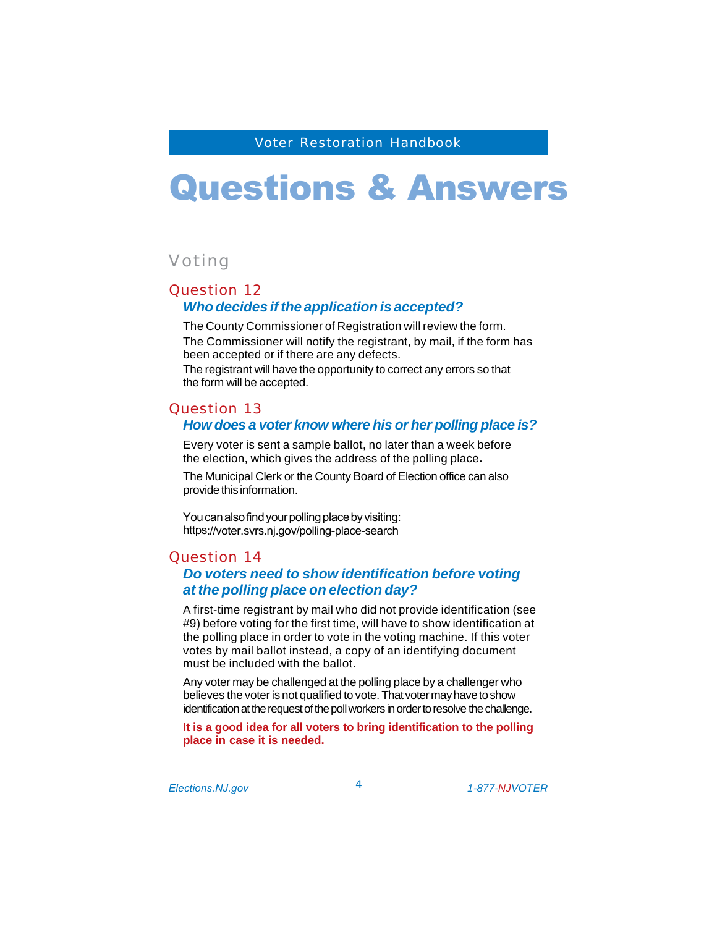# Questions & Answers

## Voting

#### Question 12 *Who decides if the application is accepted?*

The County Commissioner of Registration will review the form. The Commissioner will notify the registrant, by mail, if the form has been accepted or if there are any defects.

The registrant will have the opportunity to correct any errors so that the form will be accepted.

#### Question 13

#### *How does a voter know where his or her polling place is?*

Every voter is sent a sample ballot, no later than a week before the election, which gives the address of the polling place**.**

The Municipal Clerk or the County Board of Election office can also provide this information.

You can also find your polling place by visiting: https://voter.svrs.nj.gov/polling-place-search

#### Question 14

## *Do voters need to show identification before voting at the polling place on election day?*

A first-time registrant by mail who did not provide identification (see #9) before voting for the first time, will have to show identification at the polling place in order to vote in the voting machine. If this voter votes by mail ballot instead, a copy of an identifying document must be included with the ballot.

Any voter may be challenged at the polling place by a challenger who believes the voter is not qualified to vote. That voter may have to show identification at the request of the poll workers in order to resolve the challenge.

**It is a good idea for all voters to bring identification to the polling place in case it is needed.**

*Elections.NJ.gov 1-877-NJVOTER*